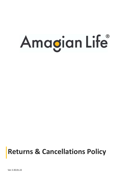# Amagian Life®

### **Returns & Cancellations Policy**

Ver 2 20.01.22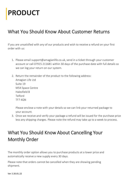## **PRODUCT**

#### What You Should Know About Customer Returns

If you are unsatisfied with any of our products and wish to receive a refund on your first order with us:

- 1. [Please email support@amagianlife.co.uk](mailto:support@amagianlife.co.uk), send in a ticket through your customer account or call 07915 211681 within 30 days of the purchase date with full details so we can log your return on our system.
- 2. Return the remainder of the product to the following address: Amagian Life Ltd Suite 19 M54 Space Centre Halesfield 8 Telford TF7 4QN

Please enclose a note with your details so we can link your returned package to your account.

3. Once we receive and verify your package a refund will be issued for the purchase price less any shipping charges. Please note the refund may take up to a week to process.

#### What You Should Know About Cancelling Your Monthly Order

The monthly order option allows you to purchase products at a lower price and automatically receive a new supply every 30 days.

Please note that orders cannot be cancelled when they are showing pending shipment.